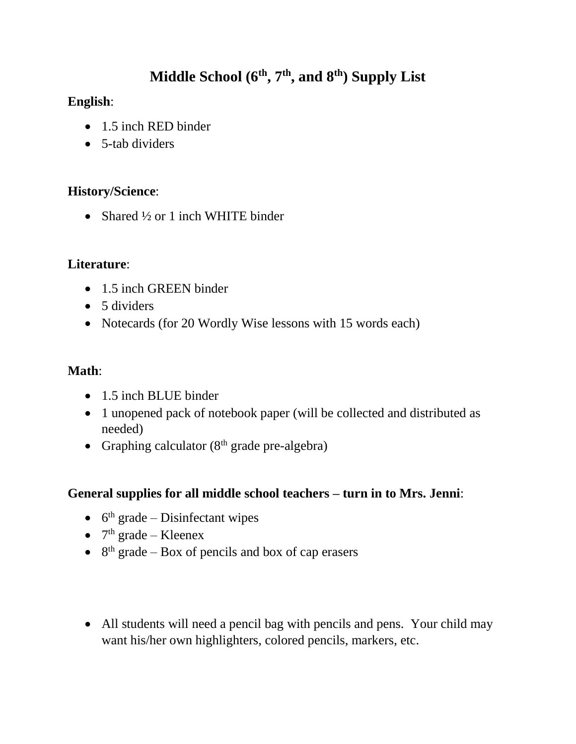# **Middle School (6th, 7th, and 8th) Supply List**

### **English**:

- 1.5 inch RED binder
- 5-tab dividers

#### **History/Science**:

• Shared  $\frac{1}{2}$  or 1 inch WHITE binder

#### **Literature**:

- 1.5 inch GREEN binder
- 5 dividers
- Notecards (for 20 Wordly Wise lessons with 15 words each)

#### **Math**:

- 1.5 inch BLUE binder
- 1 unopened pack of notebook paper (will be collected and distributed as needed)
- Graphing calculator  $(8<sup>th</sup> \text{ grade pre-algebra})$

### **General supplies for all middle school teachers – turn in to Mrs. Jenni**:

- $\bullet$  6<sup>th</sup> grade Disinfectant wipes
- $7<sup>th</sup>$  grade Kleenex
- $\bullet$  8<sup>th</sup> grade Box of pencils and box of cap erasers
- All students will need a pencil bag with pencils and pens. Your child may want his/her own highlighters, colored pencils, markers, etc.